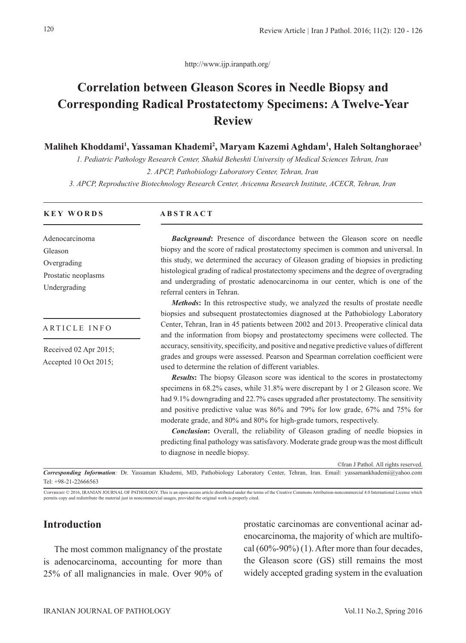http://www.ijp.iranpath.org/

# **Correlation between Gleason Scores in Needle Biopsy and Corresponding Radical Prostatectomy Specimens: A Twelve-Year Review**

### **Maliheh Khoddami1 , Yassaman Khademi2 , Maryam Kazemi Aghdam1 , Haleh Soltanghoraee3**

*1. Pediatric Pathology Research Center, Shahid Beheshti University of Medical Sciences Tehran, Iran 2. APCP, Pathobiology Laboratory Center, Tehran, Iran*

*3. APCP, Reproductive Biotechnology Research Center, Avicenna Research Institute, ACECR, Tehran, Iran*

### **KEY WORDS**

Adenocarcinoma Gleason Overgrading Prostatic neoplasms Undergrading

#### ARTICLE INFO

Received 02 Apr 2015; Accepted 10 Oct 2015;

#### **ABSTRACT**

**Background:** Presence of discordance between the Gleason score on needle biopsy and the score of radical prostatectomy specimen is common and universal. In this study, we determined the accuracy of Gleason grading of biopsies in predicting histological grading of radical prostatectomy specimens and the degree of overgrading and undergrading of prostatic adenocarcinoma in our center, which is one of the referral centers in Tehran.

*Methods***:** In this retrospective study, we analyzed the results of prostate needle biopsies and subsequent prostatectomies diagnosed at the Pathobiology Laboratory Center, Tehran, Iran in 45 patients between 2002 and 2013. Preoperative clinical data and the information from biopsy and prostatectomy specimens were collected. The accuracy, sensitivity, specificity, and positive and negative predictive values of different grades and groups were assessed. Pearson and Spearman correlation coefficient were used to determine the relation of different variables.

*Results***:** The biopsy Gleason score was identical to the scores in prostatectomy specimens in 68.2% cases, while 31.8% were discrepant by 1 or 2 Gleason score. We had 9.1% downgrading and 22.7% cases upgraded after prostatectomy. The sensitivity and positive predictive value was 86% and 79% for low grade, 67% and 75% for moderate grade, and 80% and 80% for high-grade tumors, respectively.

*Conclusion:* Overall, the reliability of Gleason grading of needle biopsies in predicting final pathology was satisfavory. Moderate grade group was the most difficult to diagnose in needle biopsy.

©Iran J Pathol. All rights reserved.

*Corresponding Information:* Dr. Yassaman Khademi, MD, Pathobiology Laboratory Center, Tehran, Iran. Email: yassamankhademi@yahoo.com Tel: +98-21-22666563

Copyright © 2016, IRANIAN JOURNAL OF PATHOLOGY. This is an open-access article distributed under the terms of the Creative Commons Attribution-noncommercial 4.0 International License which<br>permits copy and redistribute the

## **Introduction**

The most common malignancy of the prostate is adenocarcinoma, accounting for more than 25% of all malignancies in male. Over 90% of prostatic carcinomas are conventional acinar adenocarcinoma, the majority of which are multifocal  $(60\% - 90\%)$  (1). After more than four decades, the Gleason score (GS) still remains the most widely accepted grading system in the evaluation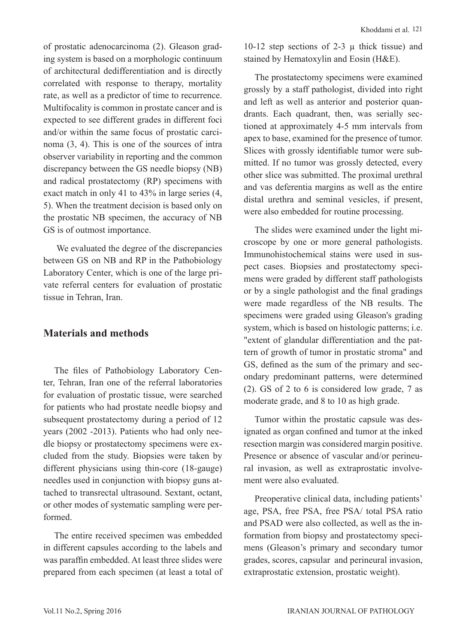of prostatic adenocarcinoma (2). Gleason grading system is based on a morphologic continuum of architectural dedifferentiation and is directly correlated with response to therapy, mortality rate, as well as a predictor of time to recurrence. Multifocality is common in prostate cancer and is expected to see different grades in different foci and/or within the same focus of prostatic carcinoma (3, 4). This is one of the sources of intra observer variability in reporting and the common discrepancy between the GS needle biopsy (NB) and radical prostatectomy (RP) specimens with exact match in only 41 to 43% in large series (4, 5). When the treatment decision is based only on the prostatic NB specimen, the accuracy of NB GS is of outmost importance.

 We evaluated the degree of the discrepancies between GS on NB and RP in the Pathobiology Laboratory Center, which is one of the large private referral centers for evaluation of prostatic tissue in Tehran, Iran.

### **Materials and methods**

The files of Pathobiology Laboratory Center, Tehran, Iran one of the referral laboratories for evaluation of prostatic tissue, were searched for patients who had prostate needle biopsy and subsequent prostatectomy during a period of 12 years (2002 -2013). Patients who had only needle biopsy or prostatectomy specimens were excluded from the study. Biopsies were taken by different physicians using thin-core (18-gauge) needles used in conjunction with biopsy guns attached to transrectal ultrasound. Sextant, octant, or other modes of systematic sampling were performed.

The entire received specimen was embedded in different capsules according to the labels and was paraffin embedded. At least three slides were prepared from each specimen (at least a total of 10-12 step sections of 2-3  $\mu$  thick tissue) and stained by Hematoxylin and Eosin (H&E).

The prostatectomy specimens were examined grossly by a staff pathologist, divided into right and left as well as anterior and posterior quandrants. Each quadrant, then, was serially sectioned at approximately 4-5 mm intervals from apex to base, examined for the presence of tumor. Slices with grossly identifiable tumor were submitted. If no tumor was grossly detected, every other slice was submitted. The proximal urethral and vas deferentia margins as well as the entire distal urethra and seminal vesicles, if present, were also embedded for routine processing.

The slides were examined under the light microscope by one or more general pathologists. Immunohistochemical stains were used in suspect cases. Biopsies and prostatectomy specimens were graded by different staff pathologists or by a single pathologist and the final gradings were made regardless of the NB results. The specimens were graded using Gleason's grading system, which is based on histologic patterns; i.e. "extent of glandular differentiation and the pattern of growth of tumor in prostatic stroma" and GS, defined as the sum of the primary and secondary predominant patterns, were determined (2). GS of 2 to 6 is considered low grade, 7 as moderate grade, and 8 to 10 as high grade.

Tumor within the prostatic capsule was designated as organ confined and tumor at the inked resection margin was considered margin positive. Presence or absence of vascular and/or perineural invasion, as well as extraprostatic involvement were also evaluated.

Preoperative clinical data, including patients' age, PSA, free PSA, free PSA/ total PSA ratio and PSAD were also collected, as well as the information from biopsy and prostatectomy specimens (Gleason's primary and secondary tumor grades, scores, capsular and perineural invasion, extraprostatic extension, prostatic weight).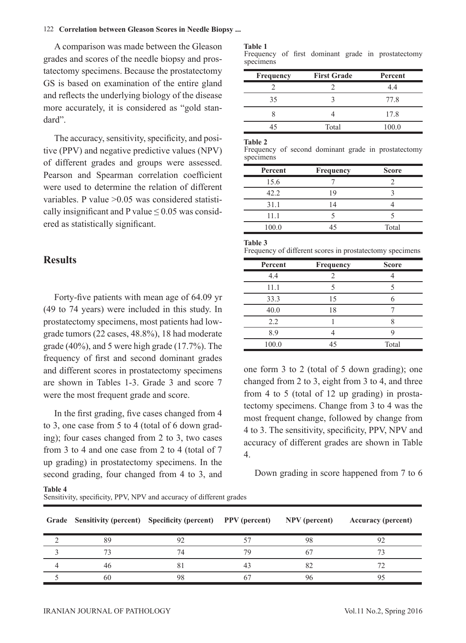#### 122 **Correlation between Gleason Scores in Needle Biopsy ...**

A comparison was made between the Gleason grades and scores of the needle biopsy and prostatectomy specimens. Because the prostatectomy GS is based on examination of the entire gland and reflects the underlying biology of the disease more accurately, it is considered as "gold standard".

The accuracy, sensitivity, specificity, and positive (PPV) and negative predictive values (NPV) of different grades and groups were assessed. Pearson and Spearman correlation coefficient were used to determine the relation of different variables. P value >0.05 was considered statistically insignificant and P value  $\leq 0.05$  was considered as statistically significant.

### **Results**

Forty-five patients with mean age of 64.09 yr (49 to 74 years) were included in this study. In prostatectomy specimens, most patients had lowgrade tumors (22 cases, 48.8%), 18 had moderate grade (40%), and 5 were high grade (17.7%). The frequency of first and second dominant grades and different scores in prostatectomy specimens are shown in Tables 1-3. Grade 3 and score 7 were the most frequent grade and score.

In the first grading, five cases changed from 4 to 3, one case from 5 to 4 (total of 6 down grading); four cases changed from 2 to 3, two cases from 3 to 4 and one case from 2 to 4 (total of 7 up grading) in prostatectomy specimens. In the second grading, four changed from 4 to 3, and

#### **Table 1**

Frequency of first dominant grade in prostatectomy specimens

| Frequency | <b>First Grade</b> | Percent |  |
|-----------|--------------------|---------|--|
|           |                    | 44      |  |
| 35        |                    | 77.8    |  |
|           |                    | 17.8    |  |
| 45        | Total              | 100.0   |  |

**Table 2**

Frequency of second dominant grade in prostatectomy specimens

| Percent | Frequency | <b>Score</b> |  |
|---------|-----------|--------------|--|
| 15.6    |           |              |  |
| 42.2    | 19        |              |  |
| 31.1    | 14        |              |  |
| 11.1    |           |              |  |
| 100.0   | 15        | Total        |  |

**Table 3**

Frequency of different scores in prostatectomy specimens

| Percent | Frequency | <b>Score</b> |
|---------|-----------|--------------|
| 4.4     | 2         |              |
| 11.1    |           |              |
| 33.3    | 15        |              |
| 40.0    | 18        |              |
| 2.2     |           |              |
| 8.9     |           |              |
| 100.0   | 45        | Total        |

one form 3 to 2 (total of 5 down grading); one changed from 2 to 3, eight from 3 to 4, and three from 4 to 5 (total of 12 up grading) in prostatectomy specimens. Change from 3 to 4 was the most frequent change, followed by change from 4 to 3. The sensitivity, specificity, PPV, NPV and accuracy of different grades are shown in Table 4.

Down grading in score happened from 7 to 6

**Table 4** Sensitivity, specificity, PPV, NPV and accuracy of different grades

|    | Grade Sensitivity (percent) Specificity (percent) PPV (percent) NPV (percent) Accuracy (percent) |    |    |  |
|----|--------------------------------------------------------------------------------------------------|----|----|--|
| 89 |                                                                                                  |    | 98 |  |
|    |                                                                                                  | 79 |    |  |
| 46 |                                                                                                  |    |    |  |
| 60 |                                                                                                  |    |    |  |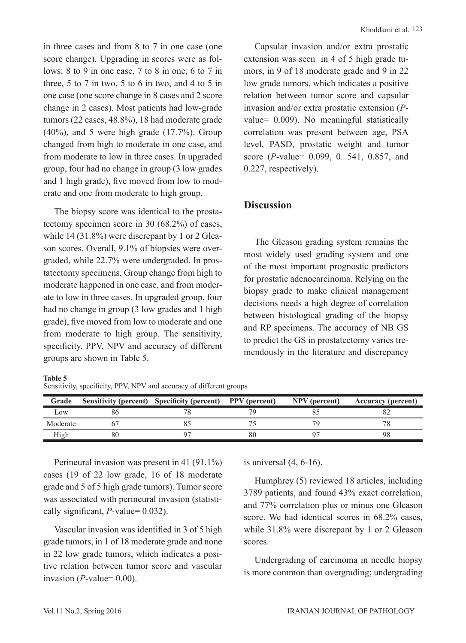in three cases and from 8 to 7 in one case (one score change). Upgrading in scores were as follows: 8 to 9 in one case, 7 to 8 in one, 6 to 7 in three,  $5$  to  $7$  in two,  $5$  to  $6$  in two, and  $4$  to  $5$  in one case (one score change in 8 cases and 2 score change in 2 cases). Most patients had low-grade tumors (22 cases, 48.8%), 18 had moderate grade  $(40\%)$ , and 5 were high grade  $(17.7\%)$ . Group changed from high to moderate in one case, and from moderate to low in three cases. In upgraded group, four had no change in group (3 low grades and 1 high grade), five moved from low to moderate and one from moderate to high group.

The biopsy score was identical to the prostatectomy specimen score in 30 (68.2%) of cases, while 14 (31.8%) were discrepant by 1 or 2 Gleason scores. Overall, 9.1% of biopsies were overgraded, while 22.7% were undergraded. In prostatectomy specimens, Group change from high to moderate happened in one case, and from moderate to low in three cases. In upgraded group, four had no change in group (3 low grades and 1 high grade), five moved from low to moderate and one from moderate to high group. The sensitivity, specificity, PPV, NPV and accuracy of different groups are shown in Table 5.

Sensitivity, specificity, PPV, NPV and accuracy of different groups

Capsular invasion and/or extra prostatic extension was seen in 4 of 5 high grade tumors, in 9 of 18 moderate grade and 9 in 22 low grade tumors, which indicates a positive relation between tumor score and capsular invasion and/or extra prostatic extension (*P*value= 0.009). No meaningful statistically correlation was present between age, PSA level, PASD, prostatic weight and tumor score (*P*-value= 0.099, 0. 541, 0.857, and 0.227, respectively).

# **Discussion**

The Gleason grading system remains the most widely used grading system and one of the most important prognostic predictors for prostatic adenocarcinoma. Relying on the biopsy grade to make clinical management decisions needs a high degree of correlation between histological grading of the biopsy and RP specimens. The accuracy of NB GS to predict the GS in prostatectomy varies tremendously in the literature and discrepancy

| Grade    |    | Sensitivity (percent) Specificity (percent) PPV (percent) | NPV (percent) | <b>Accuracy (percent)</b> |
|----------|----|-----------------------------------------------------------|---------------|---------------------------|
| Low      |    |                                                           |               |                           |
| Moderate |    |                                                           |               |                           |
| High     | 80 |                                                           |               |                           |

Perineural invasion was present in 41 (91.1%) cases (19 of 22 low grade, 16 of 18 moderate grade and 5 of 5 high grade tumors). Tumor score was associated with perineural invasion (statistically significant, *P*-value= 0.032).

Vascular invasion was identified in 3 of 5 high grade tumors, in 1 of 18 moderate grade and none in 22 low grade tumors, which indicates a positive relation between tumor score and vascular invasion  $(P$ -value=  $0.00$ ).

is universal  $(4, 6\n-16)$ .

Humphrey (5) reviewed 18 articles, including 3789 patients, and found 43% exact correlation, and 77% correlation plus or minus one Gleason score. We had identical scores in 68.2% cases, while 31.8% were discrepant by 1 or 2 Gleason scores.

Undergrading of carcinoma in needle biopsy is more common than overgrading; undergrading

**Table 5**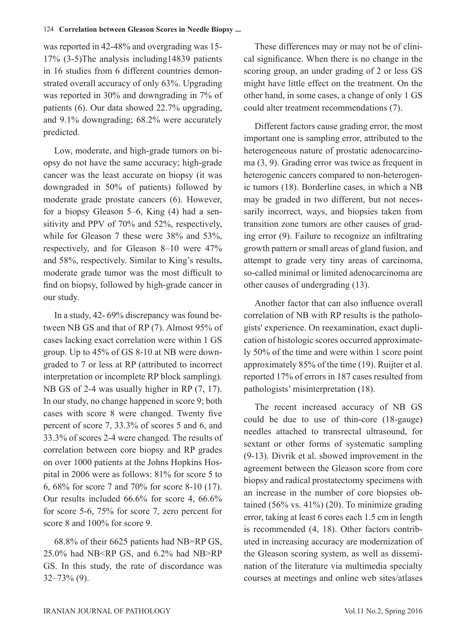#### 124 **Correlation between Gleason Scores in Needle Biopsy ...**

was reported in 42-48% and overgrading was 15- 17% (3-5)The analysis including14839 patients in 16 studies from 6 different countries demonstrated overall accuracy of only 63%. Upgrading was reported in 30% and downgrading in 7% of patients (6). Our data showed 22.7% upgrading, and 9.1% downgrading; 68.2% were accurately predicted.

Low, moderate, and high-grade tumors on biopsy do not have the same accuracy; high-grade cancer was the least accurate on biopsy (it was downgraded in 50% of patients) followed by moderate grade prostate cancers (6). However, for a biopsy Gleason 5–6, King (4) had a sensitivity and PPV of 70% and 52%, respectively, while for Gleason 7 these were 38% and 53%, respectively, and for Gleason 8–10 were 47% and 58%, respectively. Similar to King's results, moderate grade tumor was the most difficult to find on biopsy, followed by high-grade cancer in our study.

In a study, 42- 69% discrepancy was found between NB GS and that of RP (7). Almost 95% of cases lacking exact correlation were within 1 GS group. Up to 45% of GS 8-10 at NB were downgraded to 7 or less at RP (attributed to incorrect interpretation or incomplete RP block sampling). NB GS of 2-4 was usually higher in RP (7, 17). In our study, no change happened in score 9; both cases with score 8 were changed. Twenty five percent of score 7, 33.3% of scores 5 and 6, and 33.3% of scores 2-4 were changed. The results of correlation between core biopsy and RP grades on over 1000 patients at the Johns Hopkins Hospital in 2006 were as follows: 81% for score 5 to 6, 68% for score 7 and 70% for score 8-10 (17). Our results included 66.6% for score 4, 66.6% for score 5-6, 75% for score 7, zero percent for score 8 and 100% for score 9.

68.8% of their 6625 patients had NB=RP GS, 25.0% had NB<RP GS, and 6.2% had NB>RP GS. In this study, the rate of discordance was 32–73% (9).

These differences may or may not be of clinical significance. When there is no change in the scoring group, an under grading of 2 or less GS might have little effect on the treatment. On the other hand, in some cases, a change of only 1 GS could alter treatment recommendations (7).

Different factors cause grading error, the most important one is sampling error, attributed to the heterogeneous nature of prostatic adenocarcinoma (3, 9). Grading error was twice as frequent in heterogenic cancers compared to non-heterogenic tumors (18). Borderline cases, in which a NB may be graded in two different, but not necessarily incorrect, ways, and biopsies taken from transition zone tumors are other causes of grading error (9). Failure to recognize an infiltrating growth pattern or small areas of gland fusion, and attempt to grade very tiny areas of carcinoma, so-called minimal or limited adenocarcinoma are other causes of undergrading (13).

Another factor that can also influence overall correlation of NB with RP results is the pathologists' experience. On reexamination, exact duplication of histologic scores occurred approximately 50% of the time and were within 1 score point approximately 85% of the time (19). Ruijter et al. reported 17% of errors in 187 cases resulted from pathologists' misinterpretation (18).

The recent increased accuracy of NB GS could be due to use of thin-core (18-gauge) needles attached to transrectal ultrasound, for sextant or other forms of systematic sampling (9-13). Divrik et al. showed improvement in the agreement between the Gleason score from core biopsy and radical prostatectomy specimens with an increase in the number of core biopsies obtained  $(56\% \text{ vs. } 41\%)$  (20). To minimize grading error, taking at least 6 cores each 1.5 cm in length is recommended (4, 18). Other factors contributed in increasing accuracy are modernization of the Gleason scoring system, as well as dissemination of the literature via multimedia specialty courses at meetings and online web sites/atlases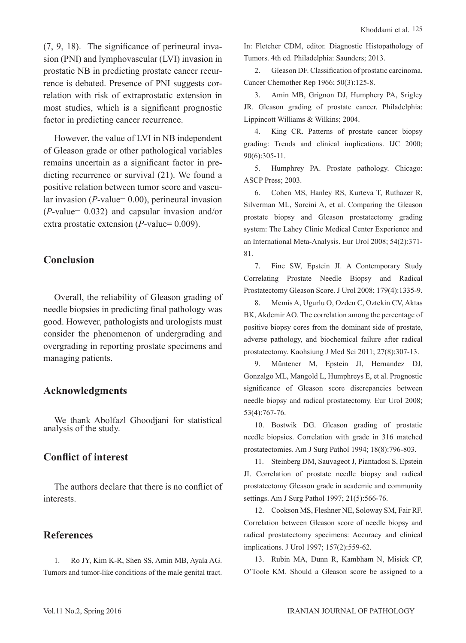(7, 9, 18). The significance of perineural invasion (PNI) and lymphovascular (LVI) invasion in prostatic NB in predicting prostate cancer recurrence is debated. Presence of PNI suggests correlation with risk of extraprostatic extension in most studies, which is a significant prognostic factor in predicting cancer recurrence.

However, the value of LVI in NB independent of Gleason grade or other pathological variables remains uncertain as a significant factor in predicting recurrence or survival (21). We found a positive relation between tumor score and vascular invasion (*P*-value= 0.00), perineural invasion (*P*-value= 0.032) and capsular invasion and/or extra prostatic extension (*P*-value= 0.009).

### **Conclusion**

Overall, the reliability of Gleason grading of needle biopsies in predicting final pathology was good. However, pathologists and urologists must consider the phenomenon of undergrading and overgrading in reporting prostate specimens and managing patients.

### **Acknowledgments**

We thank Abolfazl Ghoodjani for statistical analysis of the study.

## **Conflict of interest**

The authors declare that there is no conflict of interests.

## **References**

1. Ro JY, Kim K-R, Shen SS, Amin MB, Ayala AG. Tumors and tumor-like conditions of the male genital tract. In: Fletcher CDM, editor. Diagnostic Histopathology of Tumors. 4th ed. Philadelphia: Saunders; 2013.

2. Gleason DF. Classification of prostatic carcinoma. Cancer Chemother Rep 1966; 50(3):125-8.

3. Amin MB, Grignon DJ, Humphery PA, Srigley JR. Gleason grading of prostate cancer. Philadelphia: Lippincott Williams & Wilkins; 2004.

4. King CR. Patterns of prostate cancer biopsy grading: Trends and clinical implications. IJC 2000; 90(6):305-11.

5. Humphrey PA. Prostate pathology. Chicago: ASCP Press; 2003.

6. Cohen MS, Hanley RS, Kurteva T, Ruthazer R, Silverman ML, Sorcini A, et al. Comparing the Gleason prostate biopsy and Gleason prostatectomy grading system: The Lahey Clinic Medical Center Experience and an International Meta-Analysis. Eur Urol 2008; 54(2):371- 81.

7. Fine SW, Epstein JI. A Contemporary Study Correlating Prostate Needle Biopsy and Radical Prostatectomy Gleason Score. J Urol 2008; 179(4):1335-9.

8. Memis A, Ugurlu O, Ozden C, Oztekin CV, Aktas BK, Akdemir AO. The correlation among the percentage of positive biopsy cores from the dominant side of prostate, adverse pathology, and biochemical failure after radical prostatectomy. Kaohsiung J Med Sci 2011; 27(8):307-13.

9. Müntener M, Epstein JI, Hernandez DJ, Gonzalgo ML, Mangold L, Humphreys E, et al. Prognostic significance of Gleason score discrepancies between needle biopsy and radical prostatectomy. Eur Urol 2008; 53(4):767-76.

10. Bostwik DG. Gleason grading of prostatic needle biopsies. Correlation with grade in 316 matched prostatectomies. Am J Surg Pathol 1994; 18(8):796-803.

11. Steinberg DM, Sauvageot J, Piantadosi S, Epstein JI. Correlation of prostate needle biopsy and radical prostatectomy Gleason grade in academic and community settings. Am J Surg Pathol 1997; 21(5):566-76.

12. Cookson MS, Fleshner NE, Soloway SM, Fair RF. Correlation between Gleason score of needle biopsy and radical prostatectomy specimens: Accuracy and clinical implications. J Urol 1997; 157(2):559-62.

13. Rubin MA, Dunn R, Kambham N, Misick CP, O'Toole KM. Should a Gleason score be assigned to a